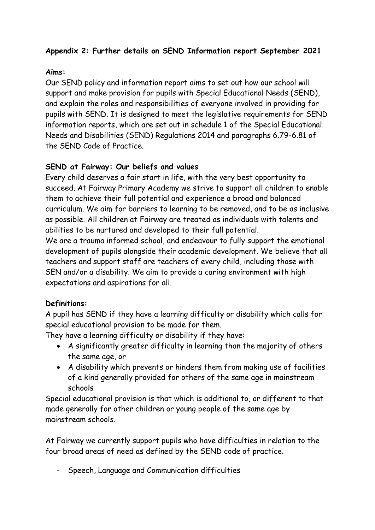# **Appendix 2: Further details on SEND Information report September 2021**

### **Aims:**

Our SEND policy and information report aims to set out how our school will support and make provision for pupils with Special Educational Needs (SEND), and explain the roles and responsibilities of everyone involved in providing for pupils with SEND. It is designed to meet the legislative requirements for SEND information reports, which are set out in schedule 1 of the Special Educational Needs and Disabilities (SEND) Regulations 2014 and paragraphs 6.79-6.81 of the SEND Code of Practice.

### **SEND at Fairway: Our beliefs and values**

Every child deserves a fair start in life, with the very best opportunity to succeed. At Fairway Primary Academy we strive to support all children to enable them to achieve their full potential and experience a broad and balanced curriculum. We aim for barriers to learning to be removed, and to be as inclusive as possible. All children at Fairway are treated as individuals with talents and abilities to be nurtured and developed to their full potential. We are a trauma informed school, and endeavour to fully support the emotional development of pupils alongside their academic development. We believe that all teachers and support staff are teachers of every child, including those with SEN and/or a disability. We aim to provide a caring environment with high expectations and aspirations for all.

# **Definitions:**

A pupil has SEND if they have a learning difficulty or disability which calls for special educational provision to be made for them.

They have a learning difficulty or disability if they have:

- A significantly greater difficulty in learning than the majority of others the same age, or
- A disability which prevents or hinders them from making use of facilities of a kind generally provided for others of the same age in mainstream schools

Special educational provision is that which is additional to, or different to that made generally for other children or young people of the same age by mainstream schools.

At Fairway we currently support pupils who have difficulties in relation to the four broad areas of need as defined by the SEND code of practice.

- Speech, Language and Communication difficulties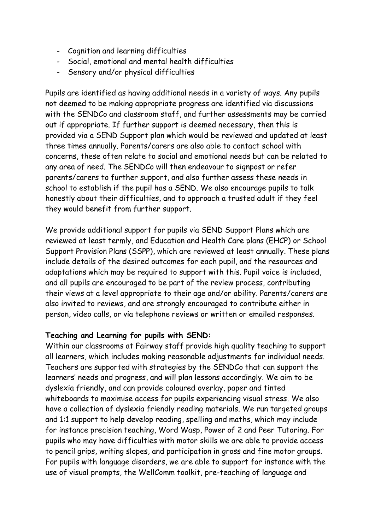- Cognition and learning difficulties
- Social, emotional and mental health difficulties
- Sensory and/or physical difficulties

Pupils are identified as having additional needs in a variety of ways. Any pupils not deemed to be making appropriate progress are identified via discussions with the SENDCo and classroom staff, and further assessments may be carried out if appropriate. If further support is deemed necessary, then this is provided via a SEND Support plan which would be reviewed and updated at least three times annually. Parents/carers are also able to contact school with concerns, these often relate to social and emotional needs but can be related to any area of need. The SENDCo will then endeavour to signpost or refer parents/carers to further support, and also further assess these needs in school to establish if the pupil has a SEND. We also encourage pupils to talk honestly about their difficulties, and to approach a trusted adult if they feel they would benefit from further support.

We provide additional support for pupils via SEND Support Plans which are reviewed at least termly, and Education and Health Care plans (EHCP) or School Support Provision Plans (SSPP), which are reviewed at least annually. These plans include details of the desired outcomes for each pupil, and the resources and adaptations which may be required to support with this. Pupil voice is included, and all pupils are encouraged to be part of the review process, contributing their views at a level appropriate to their age and/or ability. Parents/carers are also invited to reviews, and are strongly encouraged to contribute either in person, video calls, or via telephone reviews or written or emailed responses.

### **Teaching and Learning for pupils with SEND:**

Within our classrooms at Fairway staff provide high quality teaching to support all learners, which includes making reasonable adjustments for individual needs. Teachers are supported with strategies by the SENDCo that can support the learners' needs and progress, and will plan lessons accordingly. We aim to be dyslexia friendly, and can provide coloured overlay, paper and tinted whiteboards to maximise access for pupils experiencing visual stress. We also have a collection of dyslexia friendly reading materials. We run targeted groups and 1:1 support to help develop reading, spelling and maths, which may include for instance precision teaching, Word Wasp, Power of 2 and Peer Tutoring. For pupils who may have difficulties with motor skills we are able to provide access to pencil grips, writing slopes, and participation in gross and fine motor groups. For pupils with language disorders, we are able to support for instance with the use of visual prompts, the WellComm toolkit, pre-teaching of language and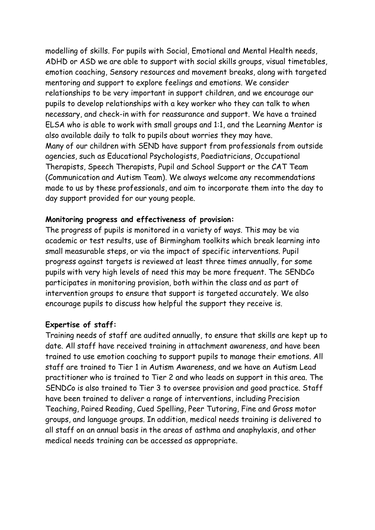modelling of skills. For pupils with Social, Emotional and Mental Health needs, ADHD or ASD we are able to support with social skills groups, visual timetables, emotion coaching, Sensory resources and movement breaks, along with targeted mentoring and support to explore feelings and emotions. We consider relationships to be very important in support children, and we encourage our pupils to develop relationships with a key worker who they can talk to when necessary, and check-in with for reassurance and support. We have a trained ELSA who is able to work with small groups and 1:1, and the Learning Mentor is also available daily to talk to pupils about worries they may have. Many of our children with SEND have support from professionals from outside agencies, such as Educational Psychologists, Paediatricians, Occupational Therapists, Speech Therapists, Pupil and School Support or the CAT Team (Communication and Autism Team). We always welcome any recommendations made to us by these professionals, and aim to incorporate them into the day to day support provided for our young people.

#### **Monitoring progress and effectiveness of provision:**

The progress of pupils is monitored in a variety of ways. This may be via academic or test results, use of Birmingham toolkits which break learning into small measurable steps, or via the impact of specific interventions. Pupil progress against targets is reviewed at least three times annually, for some pupils with very high levels of need this may be more frequent. The SENDCo participates in monitoring provision, both within the class and as part of intervention groups to ensure that support is targeted accurately. We also encourage pupils to discuss how helpful the support they receive is.

#### **Expertise of staff:**

Training needs of staff are audited annually, to ensure that skills are kept up to date. All staff have received training in attachment awareness, and have been trained to use emotion coaching to support pupils to manage their emotions. All staff are trained to Tier 1 in Autism Awareness, and we have an Autism Lead practitioner who is trained to Tier 2 and who leads on support in this area. The SENDCo is also trained to Tier 3 to oversee provision and good practice. Staff have been trained to deliver a range of interventions, including Precision Teaching, Paired Reading, Cued Spelling, Peer Tutoring, Fine and Gross motor groups, and language groups. In addition, medical needs training is delivered to all staff on an annual basis in the areas of asthma and anaphylaxis, and other medical needs training can be accessed as appropriate.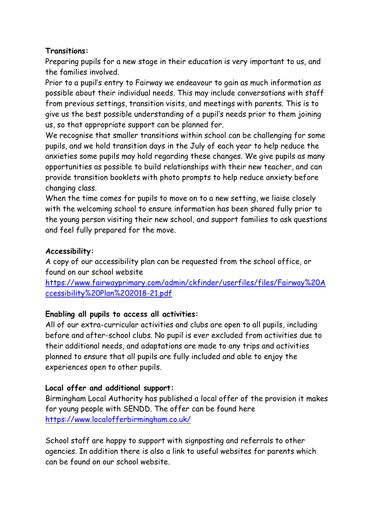### **Transitions:**

Preparing pupils for a new stage in their education is very important to us, and the families involved.

Prior to a pupil's entry to Fairway we endeavour to gain as much information as possible about their individual needs. This may include conversations with staff from previous settings, transition visits, and meetings with parents. This is to give us the best possible understanding of a pupil's needs prior to them joining us, so that appropriate support can be planned for.

We recognise that smaller transitions within school can be challenging for some pupils, and we hold transition days in the July of each year to help reduce the anxieties some pupils may hold regarding these changes. We give pupils as many opportunities as possible to build relationships with their new teacher, and can provide transition booklets with photo prompts to help reduce anxiety before changing class.

When the time comes for pupils to move on to a new setting, we liaise closely with the welcoming school to ensure information has been shared fully prior to the young person visiting their new school, and support families to ask questions and feel fully prepared for the move.

# **Accessibility:**

A copy of our accessibility plan can be requested from the school office, or found on our school website

[https://www.fairwayprimary.com/admin/ckfinder/userfiles/files/Fairway%20A](https://www.fairwayprimary.com/admin/ckfinder/userfiles/files/Fairway%20Accessibility%20Plan%202018-21.pdf) [ccessibility%20Plan%202018-21.pdf](https://www.fairwayprimary.com/admin/ckfinder/userfiles/files/Fairway%20Accessibility%20Plan%202018-21.pdf)

# **Enabling all pupils to access all activities:**

All of our extra-curricular activities and clubs are open to all pupils, including before and after-school clubs. No pupil is ever excluded from activities due to their additional needs, and adaptations are made to any trips and activities planned to ensure that all pupils are fully included and able to enjoy the experiences open to other pupils.

# **Local offer and additional support:**

Birmingham Local Authority has published a local offer of the provision it makes for young people with SENDD. The offer can be found here <https://www.localofferbirmingham.co.uk/>

School staff are happy to support with signposting and referrals to other agencies. In addition there is also a link to useful websites for parents which can be found on our school website.